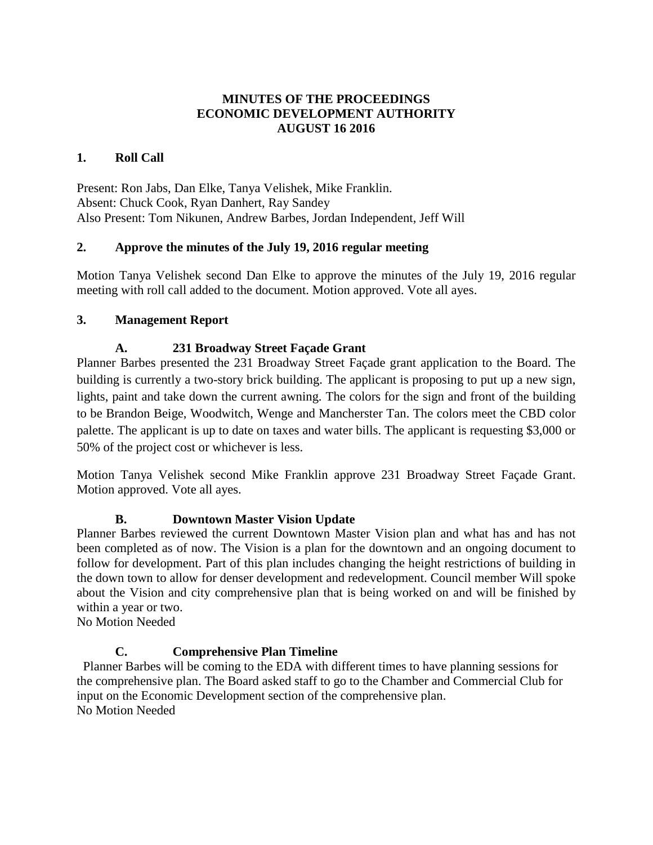## **MINUTES OF THE PROCEEDINGS ECONOMIC DEVELOPMENT AUTHORITY AUGUST 16 2016**

### **1. Roll Call**

Present: Ron Jabs, Dan Elke, Tanya Velishek, Mike Franklin. Absent: Chuck Cook, Ryan Danhert, Ray Sandey Also Present: Tom Nikunen, Andrew Barbes, Jordan Independent, Jeff Will

#### **2. Approve the minutes of the July 19, 2016 regular meeting**

Motion Tanya Velishek second Dan Elke to approve the minutes of the July 19, 2016 regular meeting with roll call added to the document. Motion approved. Vote all ayes.

## **3. Management Report**

# **A. 231 Broadway Street Façade Grant**

Planner Barbes presented the 231 Broadway Street Façade grant application to the Board. The building is currently a two-story brick building. The applicant is proposing to put up a new sign, lights, paint and take down the current awning. The colors for the sign and front of the building to be Brandon Beige, Woodwitch, Wenge and Mancherster Tan. The colors meet the CBD color palette. The applicant is up to date on taxes and water bills. The applicant is requesting \$3,000 or 50% of the project cost or whichever is less.

Motion Tanya Velishek second Mike Franklin approve 231 Broadway Street Façade Grant. Motion approved. Vote all ayes.

# **B. Downtown Master Vision Update**

Planner Barbes reviewed the current Downtown Master Vision plan and what has and has not been completed as of now. The Vision is a plan for the downtown and an ongoing document to follow for development. Part of this plan includes changing the height restrictions of building in the down town to allow for denser development and redevelopment. Council member Will spoke about the Vision and city comprehensive plan that is being worked on and will be finished by within a year or two.

No Motion Needed

# **C. Comprehensive Plan Timeline**

 Planner Barbes will be coming to the EDA with different times to have planning sessions for the comprehensive plan. The Board asked staff to go to the Chamber and Commercial Club for input on the Economic Development section of the comprehensive plan. No Motion Needed